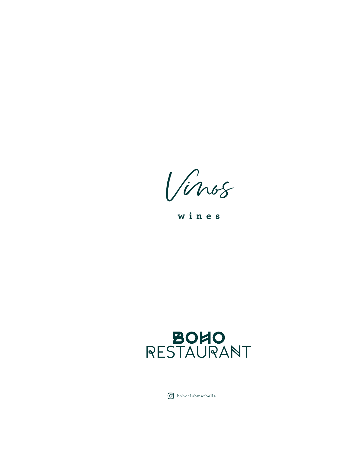Vinos

**wines**



bohoclubmarbella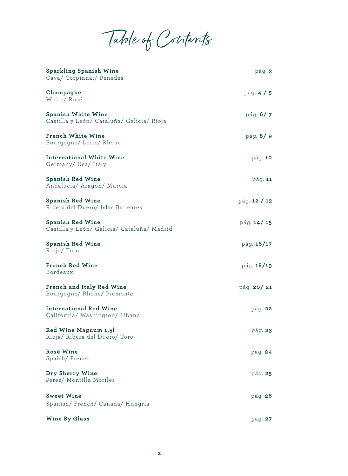Table of Contents

| <b>Sparkling Spanish Wine</b><br>Cava/ Corpinnat/ Penedés              | pág. 3       |
|------------------------------------------------------------------------|--------------|
| Champagne<br>White/Rosé                                                | pág. $4/5$   |
| <b>Spanish White Wine</b><br>Castilla y León/ Cataluña/ Galicia/ Rioja | pág. $6/7$   |
| <b>French White Wine</b><br>Bourgogne/Loire/Rhône                      | pág. 8/9     |
| <b>International White Wine</b><br>Germany/Usa/Italy                   | pág. 10      |
| <b>Spanish Red Wine</b><br>Andalucía/ Aragón/ Murcia                   | páq.11       |
| <b>Spanish Red Wine</b><br>Ribera del Duero/ Islas Balleares           | pág. 12 / 13 |
| <b>Spanish Red Wine</b><br>Castilla y León/ Galicia/ Cataluña/ Madrid  | pág. 14/15   |
| <b>Spanish Red Wine</b><br>Rioja/Toro                                  | pág. 16/17   |
| <b>French Red Wine</b><br>Bordeaux                                     | pág. 18/19   |
| French and Italy Red Wine<br>Bourgogne/Rhône/Piemonte                  | pág. 20/21   |
| International Red Wine<br>California/ Washington/ Libano               | pág. 22      |
| Red Wine Magnum 1,5l<br>Rioja/ Ribera del Duero/ Toro                  | pág. 23      |
| Rosé Wine<br>Spaish/French                                             | pág. 24      |
| Dry Sherry Wine<br>Jerez/ Montilla Moriles                             | pág. 25      |
| <b>Sweet Wine</b><br>Spanish/French/Canada/Hungria                     | pág. 26      |
| <b>Wine By Glass</b>                                                   | pág. 27      |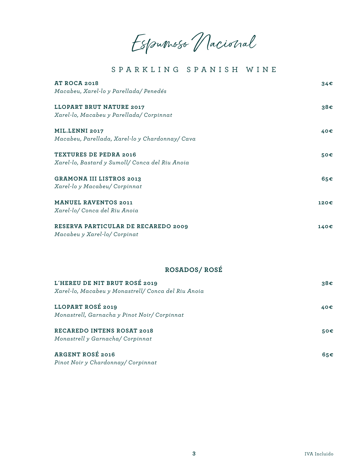Espumoso Nacional

### SPARKLING SPANISH WINE

| <b>AT ROCA 2018</b>                             | 34€             |
|-------------------------------------------------|-----------------|
| Macabeu, Xarel-lo y Parellada/ Penedés          |                 |
| LLOPART BRUT NATURE 2017                        | 38€             |
| Xarel-lo, Macabeu y Parellada/ Corpinnat        |                 |
| <b>MIL.LENNI 2017</b>                           | 40€             |
| Macabeu, Parellada, Xarel-lo y Chardonnay/ Cava |                 |
| <b>TEXTURES DE PEDRA 2016</b>                   | 50€             |
| Xarel-lo, Bastard y Sumoll/ Conca del Riu Anoia |                 |
| <b>GRAMONA III LISTROS 2013</b>                 | 65 <sup>ε</sup> |
| Xarel-lo y Macabeu/ Corpinnat                   |                 |
| <b>MANUEL RAVENTOS 2011</b>                     | 120€            |
| Xarel-lo/ Conca del Riu Anoia                   |                 |
| RESERVA PARTICULAR DE RECAREDO 2009             | 140€            |
| Macabeu y Xarel-lo/ Corpinat                    |                 |
|                                                 |                 |

### **ROSADOS/ ROSÉ**

| L'HEREU DE NIT BRUT ROSÉ 2019<br>Xarel-lo, Macabeu y Monastrell/ Conca del Riu Anoia | 38€ |
|--------------------------------------------------------------------------------------|-----|
| LLOPART ROSÉ 2019<br>Monastrell, Garnacha y Pinot Noir/ Corpinnat                    | 40€ |
| <b>RECAREDO INTENS ROSAT 2018</b><br>Monastrell y Garnacha/ Corpinnat                | 50€ |
| <b>ARGENT ROSÉ 2016</b><br>Pinot Noir y Chardonnay/ Corpinnat                        | 65€ |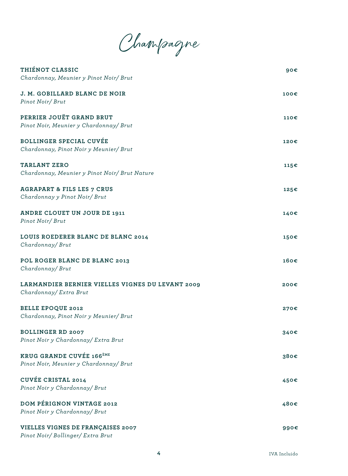Champagne

| THIÉNOT CLASSIC<br>Chardonnay, Meunier y Pinot Noir/ Brut                            | 90 <sub>ε</sub> |
|--------------------------------------------------------------------------------------|-----------------|
| J. M. GOBILLARD BLANC DE NOIR<br>Pinot Noir/Brut                                     | 100€            |
| PERRIER JOUËT GRAND BRUT<br>Pinot Noir, Meunier y Chardonnay/ Brut                   | 110€            |
| <b>BOLLINGER SPECIAL CUVÉE</b><br>Chardonnay, Pinot Noir y Meunier/ Brut             | 120€            |
| <b>TARLANT ZERO</b><br>Chardonnay, Meunier y Pinot Noir/ Brut Nature                 | 115€            |
| <b>AGRAPART &amp; FILS LES 7 CRUS</b><br>Chardonnay y Pinot Noir/ Brut               | 125€            |
| ANDRE CLOUET UN JOUR DE 1911<br>Pinot Noir/Brut                                      | 140€            |
| LOUIS ROEDERER BLANC DE BLANC 2014<br>Chardonnay/Brut                                | 150€            |
| POL ROGER BLANC DE BLANC 2013<br>Chardonnay/Brut                                     | 160€            |
| LARMANDIER BERNIER VIELLES VIGNES DU LEVANT 2009<br>Chardonnay/ Extra Brut           | 200€            |
| <b>BELLE EPOQUE 2012</b><br>Chardonnay, Pinot Noir y Meunier/ Brut                   | 270€            |
| <b>BOLLINGER RD 2007</b><br>Pinot Noir y Chardonnay/ Extra Brut                      | 340€            |
| <b>KRUG GRANDE CUVÉE 166<sup>ÈME</sup></b><br>Pinot Noir, Meunier y Chardonnay/ Brut | 380€            |
| <b>CUVÉE CRISTAL 2014</b><br>Pinot Noir y Chardonnay/ Brut                           | 450€            |
| <b>DOM PÉRIGNON VINTAGE 2012</b><br>Pinot Noir y Chardonnay/ Brut                    | 480€            |
| VIELLES VIGNES DE FRANÇAISES 2007<br>Pinot Noir/Bollinger/Extra Brut                 | 990€            |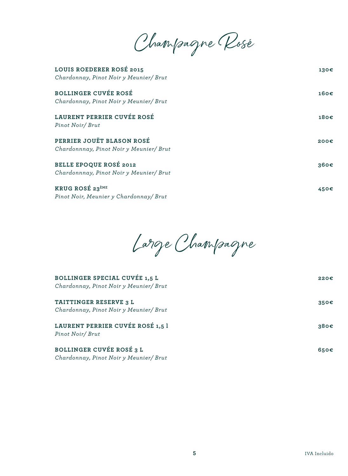Champagne Rosé

| LOUIS ROEDERER ROSÉ 2015<br>Chardonnay, Pinot Noir y Meunier/ Brut    | 130€             |
|-----------------------------------------------------------------------|------------------|
| <b>BOLLINGER CUVÉE ROSÉ</b><br>Chardonnay, Pinot Noir y Meunier/ Brut | 160 <sub>ε</sub> |
| LAURENT PERRIER CUVÉE ROSÉ<br>Pinot Noir/Brut                         | 180€             |
| PERRIER JOUËT BLASON ROSÉ<br>Chardonnnay, Pinot Noir y Meunier/ Brut  | 200€             |
| BELLE EPOQUE ROSÉ 2012<br>Chardonnnay, Pinot Noir y Meunier/ Brut     | 360€             |
| KRUG ROSÉ 23 <sup>ÈME</sup><br>Pinot Noir, Meunier y Chardonnay/ Brut | 450€             |

Large Champagne

| BOLLINGER SPECIAL CUVÉE 1,5 L<br>Chardonnay, Pinot Noir y Meunier/ Brut | 220E |
|-------------------------------------------------------------------------|------|
| TAITTINGER RESERVE 3 L<br>Chardonnay, Pinot Noir y Meunier/ Brut        | 350E |
| LAURENT PERRIER CUVÉE ROSÉ 1,5 l<br>Pinot Noir/Brut                     | 380E |
| BOLLINGER CUVÉE ROSÉ 3 L<br>Chardonnay, Pinot Noir y Meunier/ Brut      | 650€ |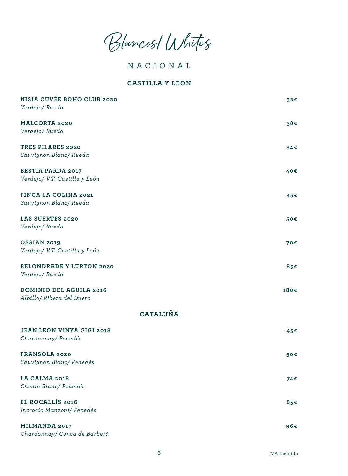Blancos/ Whites

NACIONAL

#### **CASTILLA Y LEON**

| NISIA CUVÉE BOHO CLUB 2020<br>Verdejo/Rueda                 | 32€  |
|-------------------------------------------------------------|------|
| <b>MALCORTA 2020</b>                                        | 38€  |
| Verdejo/Rueda                                               |      |
| TRES PILARES 2020<br>Sauvignon Blanc/Rueda                  | 34€  |
| <b>BESTIA PARDA 2017</b><br>Verdejo/ V.T. Castilla y León   | 40€  |
| FINCA LA COLINA 2021<br>Sauvignon Blanc/Rueda               | 45€  |
| LAS SUERTES 2020<br>Verdejo/Rueda                           | 50€  |
| <b>OSSIAN 2019</b><br>Verdejo/ V.T. Castilla y León         | 70€  |
| <b>BELONDRADE Y LURTON 2020</b><br>Verdejo/Rueda            | 85€  |
| <b>DOMINIO DEL AGUILA 2016</b><br>Albillo/ Ribera del Duero | 180€ |
| CATALUÑA                                                    |      |
| <b>JEAN LEON VINYA GIGI 2018</b><br>Chardonnay/Penedés      | 45€  |
| FRANSOLA 2020<br>Sauvignon Blanc/Penedés                    | 50€  |
| LA CALMA 2018<br>Chenin Blanc/Penedés                       | 74€  |
| EL ROCALLÍS 2016<br>Incrocio Manzoni/ Penedés               | 85€  |
| MILMANDA 2017<br>Chardonnay/ Conca de Barberà               | 96€  |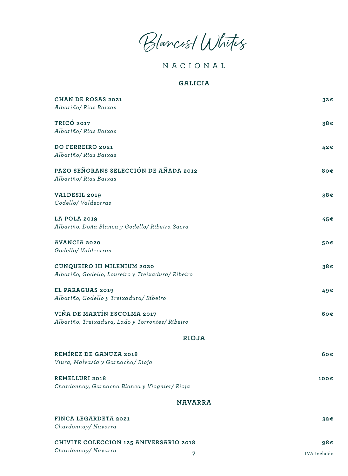Blancos/ Whites

NACIONAL

#### **GALICIA**

| <b>CHAN DE ROSAS 2021</b><br>Albariño/ Rias Baixas                               | 32€  |
|----------------------------------------------------------------------------------|------|
| TRICÓ 2017<br>Albariño/ Rias Baixas                                              | 38€  |
| DO FERREIRO 2021<br>Albariño/ Rias Baixas                                        | 42€  |
| PAZO SEÑORANS SELECCIÓN DE AÑADA 2012<br>Albariño/ Rias Baixas                   | 80€  |
| VALDESIL 2019<br>Godello/Valdeorras                                              | 38€  |
| LA POLA 2019<br>Albariño, Doña Blanca y Godello/ Ribeira Sacra                   | 45€  |
| <b>AVANCIA 2020</b><br>Godello/Valdeorras                                        | 50€  |
| CUNQUEIRO III MILENIUM 2020<br>Albariño, Godello, Loureiro y Treixadura/ Ribeiro | 38€  |
| EL PARAGUAS 2019<br>Albariño, Godello y Treixadura/ Ribeiro                      | 49€  |
| VIÑA DE MARTÍN ESCOLMA 2017<br>Albariño, Treixadura, Lado y Torrontes/ Ribeiro   | 60€  |
| <b>RIOJA</b>                                                                     |      |
| <b>REMÍREZ DE GANUZA 2018</b><br>Viura, Malvasía y Garnacha/Rioja                | 60€  |
| <b>REMELLURI 2018</b><br>Chardonnay, Garnacha Blanca y Viognier/ Rioja           | 100€ |
| <b>NAVARRA</b>                                                                   |      |
| FINCA LEGARDETA 2021<br>Chardonnay/Navarra                                       | 32€  |
| CHIVITE COLECCION 125 ANIVERSARIO 2018                                           | 98€  |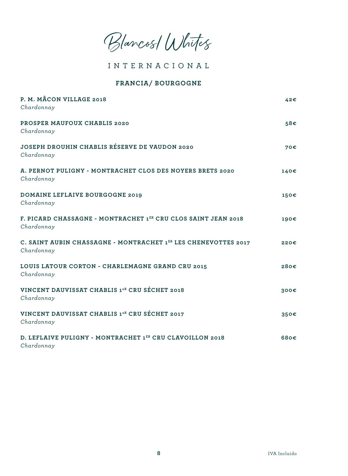Blancos/ Whites

INTERNACIONAL

#### **FRANCIA/ BOURGOGNE**

| P. M. MÂCON VILLAGE 2018<br>Chardonnay                                       | 42€  |
|------------------------------------------------------------------------------|------|
| PROSPER MAUFOUX CHABLIS 2020<br>Chardonnay                                   | 58€  |
| JOSEPH DROUHIN CHABLIS RÉSERVE DE VAUDON 2020<br>Chardonnay                  | 70€  |
| A. PERNOT PULIGNY - MONTRACHET CLOS DES NOYERS BRETS 2020<br>Chardonnay      | 140€ |
| <b>DOMAINE LEFLAIVE BOURGOGNE 2019</b><br>Chardonnay                         | 150€ |
| F. PICARD CHASSAGNE - MONTRACHET 1ER CRU CLOS SAINT JEAN 2018<br>Chardonnay  | 190€ |
| C. SAINT AUBIN CHASSAGNE - MONTRACHET 1ER LES CHENEVOTTES 2017<br>Chardonnay | 220€ |
| LOUIS LATOUR CORTON - CHARLEMAGNE GRAND CRU 2015<br>Chardonnay               | 280€ |
| VINCENT DAUVISSAT CHABLIS 1 <sup>eR</sup> CRU SÉCHET 2018<br>Chardonnay      | 300€ |
| VINCENT DAUVISSAT CHABLIS 1 <sup>er</sup> CRU SÉCHET 2017<br>Chardonnay      | 350€ |
| D. LEFLAIVE PULIGNY - MONTRACHET 1ER CRU CLAVOILLON 2018<br>Chardonnay       | 680€ |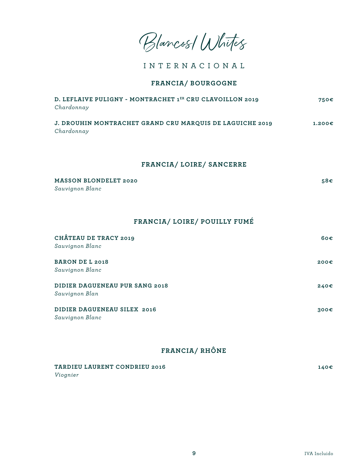Blancos/ Whites

INTERNACIONAL

#### **FRANCIA/ BOURGOGNE**

| D. LEFLAIVE PULIGNY - MONTRACHET 1ER CRU CLAVOILLON 2019<br>Chardonnay | 750€   |
|------------------------------------------------------------------------|--------|
| J. DROUHIN MONTRACHET GRAND CRU MARQUIS DE LAGUICHE 2019<br>Chardonnay | 1.200E |

#### **FRANCIA/ LOIRE/ SANCERRE**

| MASSON BLONDELET 2020 | 58€ |
|-----------------------|-----|
| Sauvignon Blanc       |     |

### **FRANCIA/ LOIRE/ POUILLY FUMÉ**

| CHÂTEAU DE TRACY 2019          | 60 <sup>ε</sup> |
|--------------------------------|-----------------|
| Sauvignon Blanc                |                 |
| <b>BARON DE L 2018</b>         | 200E            |
| Sauvignon Blanc                |                 |
| DIDIER DAGUENEAU PUR SANG 2018 | 240€            |
| Sauvignon Blan                 |                 |
| DIDIER DAGUENEAU SILEX 2016    | 300E            |
| Sauvignon Blanc                |                 |

### **FRANCIA/ RHÔNE**

| TARDIEU LAURENT CONDRIEU 2016 | 140€ |
|-------------------------------|------|
| Viognier                      |      |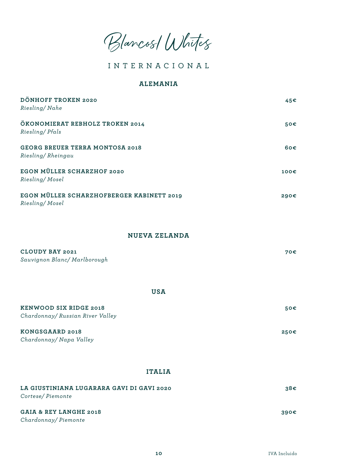Blancos/ Whites

### INTERNACIONAL

#### **ALEMANIA**

| DÖNHOFF TROKEN 2020<br>Riesling/Nahe                          | 45€  |
|---------------------------------------------------------------|------|
| ÖKONOMIERAT REBHOLZ TROKEN 2014<br>Riesling/Pfals             | 50€  |
| <b>GEORG BREUER TERRA MONTOSA 2018</b><br>Riesling/Rheingau   | 60€  |
| EGON MÜLLER SCHARZHOF 2020<br>Riesling/Mosel                  | 100€ |
| EGON MÜLLER SCHARZHOFBERGER KABINETT 2019<br>Riesling/Mosel   | 290€ |
| <b>NUEVA ZELANDA</b>                                          |      |
| CLOUDY BAY 2021<br>Sauvignon Blanc/ Marlborough               | 70€  |
| <b>USA</b>                                                    |      |
| KENWOOD SIX RIDGE 2018<br>Chardonnay/ Russian River Valley    | 50€  |
| KONGSGAARD 2018<br>Chardonnay/ Napa Valley                    | 250€ |
| <b>ITALIA</b>                                                 |      |
| LA GIUSTINIANA LUGARARA GAVI DI GAVI 2020<br>Cortese/Piemonte | 38€  |

| GAIA & REY LANGHE 2018 | 390€ |
|------------------------|------|
| Chardonnay/Piemonte    |      |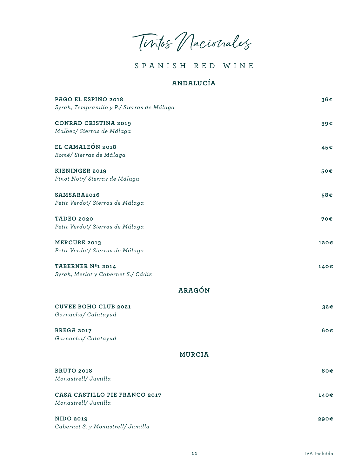Tintos Nacionales

# **ANDALUCÍA**

| PAGO EL ESPINO 2018<br>Syrah, Tempranillo y P./ Sierras de Málaga | 36€  |
|-------------------------------------------------------------------|------|
| <b>CONRAD CRISTINA 2019</b><br>Malbec/ Sierras de Málaga          | 39€  |
| EL CAMALEÓN 2018<br>Romé/Sierras de Málaga                        | 45€  |
| <b>KIENINGER 2019</b><br>Pinot Noir/ Sierras de Málaga            | 50€  |
| SAMSARA2016<br>Petit Verdot/Sierras de Málaga                     | 58€  |
| <b>TADEO 2020</b><br>Petit Verdot/Sierras de Málaga               | 70€  |
| <b>MERCURE 2013</b><br>Petit Verdot/ Sierras de Málaga            | 120€ |
| TABERNER Nº1 2014<br>Syrah, Merlot y Cabernet S./ Cádiz           | 140€ |
| <b>ARAGÓN</b>                                                     |      |
| <b>CUVEE BOHO CLUB 2021</b><br>Garnacha/Calatayud                 | 32€  |
| <b>BREGA 2017</b><br>Garnacha/Calatayud                           | 60€  |
| <b>MURCIA</b>                                                     |      |
| <b>BRUTO 2018</b><br>Monastrell/ Jumilla                          | 80€  |
| CASA CASTILLO PIE FRANCO 2017<br>Monastrell/ Jumilla              | 140€ |
| <b>NIDO 2019</b><br>Cabernet S. y Monastrell/ Jumilla             | 290€ |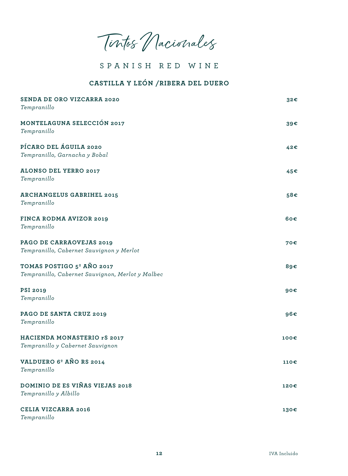Tintos Nacionales

### **CASTILLA Y LEÓN /RIBERA DEL DUERO**

| SENDA DE ORO VIZCARRA 2020<br>Tempranillo                                                 | 32€  |
|-------------------------------------------------------------------------------------------|------|
| MONTELAGUNA SELECCIÓN 2017<br>Tempranillo                                                 | 39€  |
| PÍCARO DEL ÁGUILA 2020<br>Tempranillo, Garnacha y Bobal                                   | 42€  |
| ALONSO DEL YERRO 2017<br>Tempranillo                                                      | 45€  |
| <b>ARCHANGELUS GABRIHEL 2015</b><br>Tempranillo                                           | 58€  |
| FINCA RODMA AVIZOR 2019<br>Tempranillo                                                    | 60€  |
| PAGO DE CARRAOVEJAS 2019<br>Tempranillo, Cabernet Sauvignon y Merlot                      | 70€  |
| TOMAS POSTIGO 5 <sup>°</sup> AÑO 2017<br>Tempranillo, Cabernet Sauvignon, Merlot y Malbec | 89€  |
| <b>PSI 2019</b><br>Tempranillo                                                            | 90€  |
| PAGO DE SANTA CRUZ 2019<br>Tempranillo                                                    | 96€  |
| HACIENDA MONASTERIO rS 2017<br>Tempranillo y Cabernet Sauvignon                           | 100€ |
| VALDUERO 6 <sup>°</sup> AÑO RS 2014<br>Tempranillo                                        | 110€ |
| DOMINIO DE ES VIÑAS VIEJAS 2018<br>Tempranillo y Albillo                                  | 120€ |
| <b>CELIA VIZCARRA 2016</b><br>Tempranillo                                                 | 130€ |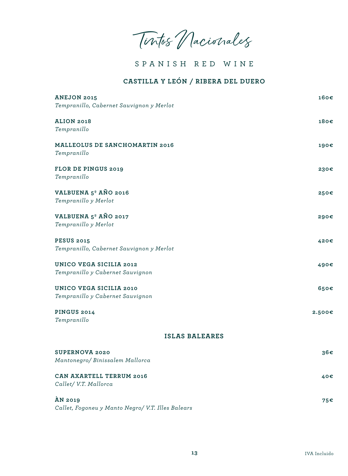Tintos Nacionales

### **CASTILLA Y LEÓN / RIBERA DEL DUERO**

| <b>ANEJON 2015</b><br>Tempranillo, Cabernet Sauvignon y Merlot      | 160€   |  |
|---------------------------------------------------------------------|--------|--|
| <b>ALION 2018</b><br>Tempranillo                                    | 180€   |  |
| MALLEOLUS DE SANCHOMARTIN 2016<br>Tempranillo                       | 190€   |  |
| <b>FLOR DE PINGUS 2019</b><br>Tempranillo                           | 230€   |  |
| VALBUENA 5 <sup>°</sup> AÑO 2016<br>Tempranillo y Merlot            | 250€   |  |
| VALBUENA 5 <sup>°</sup> AÑO 2017<br>Tempranillo y Merlot            | 290€   |  |
| <b>PESUS 2015</b><br>Tempranillo, Cabernet Sauvignon y Merlot       | 420€   |  |
| <b>UNICO VEGA SICILIA 2012</b><br>Tempranillo y Cabernet Sauvignon  | 490€   |  |
| <b>UNICO VEGA SICILIA 2010</b><br>Tempranillo y Cabernet Sauvignon  | 650€   |  |
| <b>PINGUS 2014</b><br>Tempranillo                                   | 2.500€ |  |
| <b>ISLAS BALEARES</b>                                               |        |  |
| <b>SUPERNOVA 2020</b><br>Mantonegro/ Binissalem Mallorca            | 36€    |  |
| <b>CAN AXARTELL TERRUM 2016</b><br>Callet/ V.T. Mallorca            | 40€    |  |
| <b>AN 2019</b><br>Callet, Fogoneu y Manto Negro/ V.T. Illes Balears | 75€    |  |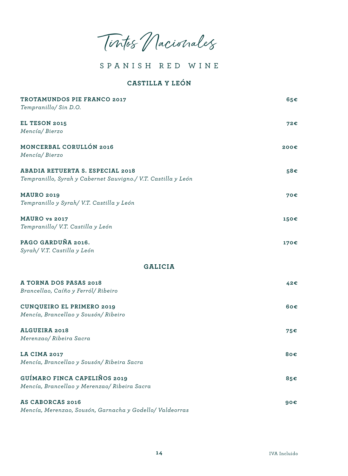Tintos Nacionales

### **CASTILLA Y LEÓN**

| TROTAMUNDOS PIE FRANCO 2017                                   | 65€  |
|---------------------------------------------------------------|------|
| Tempranillo/ Sin D.O.                                         |      |
| EL TESON 2015                                                 | 72€  |
| Mencía/Bierzo                                                 |      |
| MONCERBAL CORULLÓN 2016                                       | 200€ |
| Mencía/Bierzo                                                 |      |
| ABADIA RETUERTA S. ESPECIAL 2018                              | 58€  |
| Tempranillo, Syrah y Cabernet Sauvigno./ V.T. Castilla y León |      |
| <b>MAURO 2019</b>                                             | 70€  |
| Tempranillo y Syrah/ V.T. Castilla y León                     |      |
| MAURO vs 2017                                                 | 150€ |
| Tempranillo/ V.T. Castilla y León                             |      |
| PAGO GARDUÑA 2016.                                            | 170€ |
| Syrah/ V.T. Castilla y León                                   |      |
| <b>GALICIA</b>                                                |      |
| A TORNA DOS PASAS 2018                                        | 42€  |
| Brancellao, Caíño y Ferról/ Ribeiro                           |      |
| <b>CUNQUEIRO EL PRIMERO 2019</b>                              | 60€  |
| Mencía, Brancellao y Sousón/ Ribeiro                          |      |
| <b>ALGUEIRA 2018</b>                                          | 75€  |
| Merenzao/ Ribeira Sacra                                       |      |
| <b>LA CIMA 2017</b>                                           | 80€  |
| Mencía, Brancellao y Sousón/ Ribeira Sacra                    |      |
| GUÍMARO FINCA CAPELIÑOS 2019                                  | 85€  |
| Mencía, Brancellao y Merenzao/ Ribeira Sacra                  |      |
| <b>AS CABORCAS 2016</b>                                       | 90€  |
| Mencía, Merenzao, Sousón, Garnacha y Godello/ Valdeorras      |      |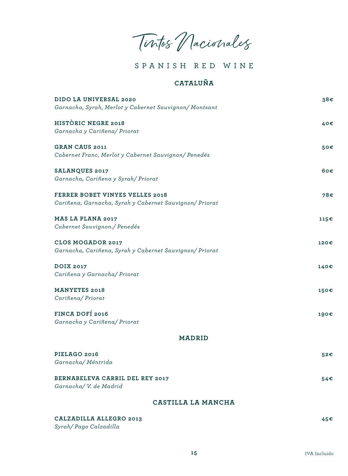Tintos Nacionales

# **CATALUÑA**

| DIDO LA UNIVERSAL 2020<br>Garnacha, Syrah, Merlot y Cabernet Sauvignon/ Montsant           | 38€  |
|--------------------------------------------------------------------------------------------|------|
| HISTORIC NEGRE 2018<br>Garnacha y Cariñena/ Priorat                                        | 40€  |
| <b>GRAN CAUS 2011</b><br>Cabernet Franc, Merlot y Cabernet Sauvignon/ Penedés              | 50€  |
| <b>SALANQUES 2017</b><br>Garnacha, Cariñena y Syrah/ Priorat                               | 60€  |
| FERRER BOBET VINYES VELLES 2018<br>Cariñena, Garnacha, Syrah y Cabernet Sauvignon/ Priorat | 78€  |
| MAS LA PLANA 2017<br>Cabernet Sauvignon./ Penedés                                          | 115€ |
| <b>CLOS MOGADOR 2017</b><br>Garnacha, Cariñena, Syrah y Cabernet Sauvignon/ Priorat        | 120€ |
| <b>DOIX 2017</b><br>Cariñena y Garnacha/ Priorat                                           | 140€ |
| <b>MANYETES 2018</b><br>Cariñena/ Priorat                                                  | 150€ |
| FINCA DOFÍ 2016<br>Garnacha y Cariñena/ Priorat                                            | 190€ |
| <b>MADRID</b>                                                                              |      |
| PIELAGO 2016<br>Garnacha/Méntrida                                                          | 52€  |
| BERNABELEVA CARRIL DEL REY 2017<br>Garnacha/ V. de Madrid                                  | 54€  |
| CASTILLA LA MANCHA                                                                         |      |

| CALZADILLA ALLEGRO 2013 |  |
|-------------------------|--|
|                         |  |

*Syrah/ Pago Calzadilla*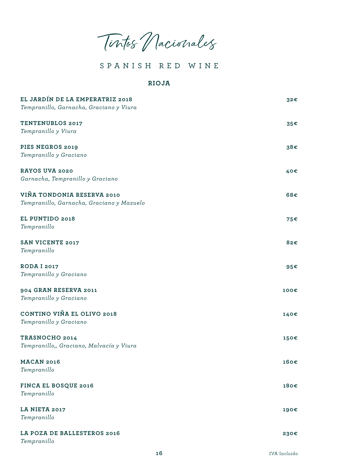Tintos Nacionales

#### **RIOJA**

| EL JARDÍN DE LA EMPERATRIZ 2018<br>Tempranillo, Garnacha, Graciano y Viura | 32€  |
|----------------------------------------------------------------------------|------|
| <b>TENTENUBLOS 2017</b><br>Tempranillo y Viura                             | 35€  |
| PIES NEGROS 2019<br>Tempranillo y Graciano                                 | 38€  |
| RAYOS UVA 2020<br>Garnacha, Tempranillo y Graciano                         | 40€  |
| VIÑA TONDONIA RESERVA 2010<br>Tempranillo, Garnacha, Graciano y Mazuelo    | 68€  |
| EL PUNTIDO 2018<br>Tempranillo                                             | 75€  |
| <b>SAN VICENTE 2017</b><br>Tempranillo                                     | 82€  |
| <b>RODA I 2017</b><br>Tempranillo y Graciano                               | 95€  |
| 904 GRAN RESERVA 2011<br>Tempranillo y Graciano                            | 100€ |
| CONTINO VIÑA EL OLIVO 2018<br>Tempranillo y Graciano                       | 140€ |
| TRASNOCHO 2014<br>Tempranillo,, Graciano, Malvacía y Viura                 | 150€ |
| <b>MACAN 2016</b><br>Tempranillo                                           | 160€ |
| FINCA EL BOSQUE 2016<br>Tempranillo                                        | 180€ |
| LA NIETA 2017<br>Tempranillo                                               | 190€ |
| LA POZA DE BALLESTEROS 2016<br>Tempranillo                                 | 230€ |
|                                                                            |      |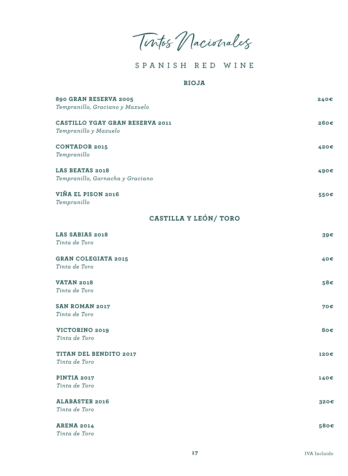Tintos Nacionales

#### **RIOJA**

| 890 GRAN RESERVA 2005<br>Tempranillo, Graciano y Mazuelo | 240€ |
|----------------------------------------------------------|------|
| CASTILLO YGAY GRAN RESERVA 2011<br>Tempranillo y Mazuelo | 260€ |
| <b>CONTADOR 2015</b><br>Tempranillo                      | 420€ |
| LAS BEATAS 2018<br>Tempranillo, Garnacha y Graciano      | 490€ |
| VIÑA EL PISON 2016<br>Tempranillo                        | 550€ |
| CASTILLA Y LEÓN/ TORO                                    |      |
| LAS SABIAS 2018<br>Tinta de Toro                         | 39€  |
| <b>GRAN COLEGIATA 2015</b><br>Tinta de Toro              | 40€  |
| <b>VATAN 2018</b><br>Tinta de Toro                       | 58€  |
| <b>SAN ROMAN 2017</b><br>Tinta de Toro                   | 70€  |
| VICTORINO 2019<br>Tinta de Toro                          | 80€  |
| TITAN DEL BENDITO 2017<br>Tinta de Toro                  | 120€ |
| PINTIA 2017<br>Tinta de Toro                             | 140€ |
| <b>ALABASTER 2016</b><br>Tinta de Toro                   | 320€ |
| <b>ARENA 2014</b><br>Tinta de Toro                       | 580€ |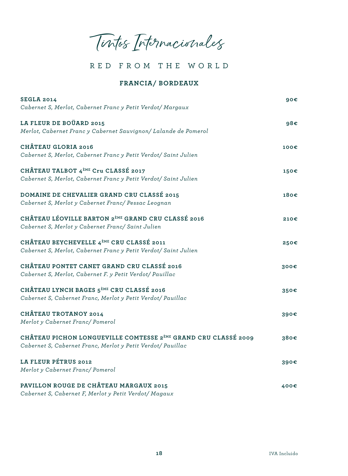Tintos Internacionales

### **FRANCIA/ BORDEAUX**

| <b>SEGLA 2014</b><br>Cabernet S, Merlot, Cabernet Franc y Petit Verdot/ Margaux                                                           | 90€  |
|-------------------------------------------------------------------------------------------------------------------------------------------|------|
| LA FLEUR DE BOÜARD 2015<br>Merlot, Cabernet Franc y Cabernet Sauvignon/ Lalande de Pomerol                                                | 98€  |
| CHÂTEAU GLORIA 2016<br>Cabernet S, Merlot, Cabernet Franc y Petit Verdot/ Saint Julien                                                    | 100€ |
| CHÂTEAU TALBOT 4 <sup>ème</sup> Cru CLASSÉ 2017<br>Cabernet S, Merlot, Cabernet Franc y Petit Verdot/ Saint Julien                        | 150€ |
| DOMAINE DE CHEVALIER GRAND CRU CLASSÉ 2015<br>Cabernet S, Merlot y Cabernet Franc/ Pessac Leognan                                         | 180€ |
| CHÂTEAU LÉOVILLE BARTON 2 <sup>ème</sup> GRAND CRU CLASSÉ 2016<br>Cabernet S, Merlot y Cabernet Franc/ Saint Julien                       | 210€ |
| CHÂTEAU BEYCHEVELLE 4 <sup>èME</sup> CRU CLASSÉ 2011<br>Cabernet S, Merlot, Cabernet Franc y Petit Verdot/ Saint Julien                   | 250€ |
| CHÂTEAU PONTET CANET GRAND CRU CLASSÉ 2016<br>Cabernet S, Merlot, Cabernet F. y Petit Verdot/ Pauillac                                    | 300€ |
| CHÂTEAU LYNCH BAGES 5 <sup>ème</sup> CRU CLASSÉ 2016<br>Cabernet S, Cabernet Franc, Merlot y Petit Verdot/ Pauillac                       | 350€ |
| <b>CHÂTEAU TROTANOY 2014</b><br>Merlot y Cabernet Franc/ Pomerol                                                                          | 390€ |
| CHÂTEAU PICHON LONGUEVILLE COMTESSE 2 <sup>ème</sup> GRAND CRU CLASSÉ 2009<br>Cabernet S, Cabernet Franc, Merlot y Petit Verdot/ Pauillac | 380€ |
| LA FLEUR PÉTRUS 2012<br>Merlot y Cabernet Franc/ Pomerol                                                                                  | 390€ |
| PAVILLON ROUGE DE CHÂTEAU MARGAUX 2015<br>Cabernet S, Cabernet F, Merlot y Petit Verdot/ Magaux                                           | 400€ |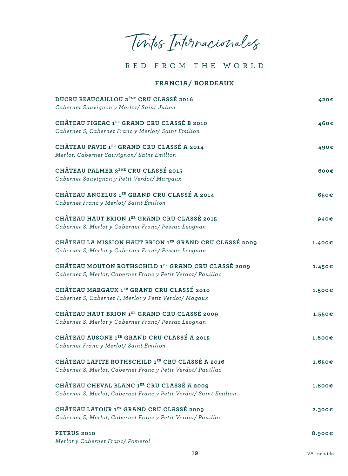Tintos Internacionales

**FRANCIA/ BORDEAUX**

| DUCRU BEAUCAILLOU 2 <sup>ème</sup> CRU CLASSÉ 2016<br>Cabernet Sauvignon y Merlot/ Saint Julien                    | 420€   |
|--------------------------------------------------------------------------------------------------------------------|--------|
| CHÂTEAU FIGEAC 1ER GRAND CRU CLASSÉ B 2010<br>Cabernet S, Cabernet Franc y Merlot/ Saint Emilion                   | 460€   |
| CHÂTEAU PAVIE 1ER GRAND CRU CLASSÉ A 2014<br>Merlot, Cabernet Sauvignon/ Saint Émilion                             | 490€   |
| CHÂTEAU PALMER 3 <sup>ème</sup> CRU CLASSÉ 2015<br>Cabernet Sauvignon y Petit Verdot/ Margaux                      | 600€   |
| CHÂTEAU ANGELUS 1ER GRAND CRU CLASSÉ A 2014<br>Cabernet Franc y Merlot/ Saint Émilion                              | 650€   |
| CHÂTEAU HAUT BRION 1ER GRAND CRU CLASSÉ 2015<br>Cabernet S, Merlot y Cabernet Franc/ Pessac Leognan                | 940€   |
| CHÂTEAU LA MISSION HAUT BRION 1ER GRAND CRU CLASSÉ 2009<br>Cabernet S, Merlot y Cabernet Franc/ Pessac Leognan     | 1.400€ |
| CHÂTEAU MOUTON ROTHSCHILD 1ER GRAND CRU CLASSÉ 2009<br>Cabernet S, Merlot, Cabernet Franc y Petit Verdot/ Pauillac | 1.450€ |
| CHÂTEAU MARGAUX 1ER GRAND CRU CLASSÉ 2010<br>Cabernet S, Cabernet F, Merlot y Petit Verdot/ Magaux                 | 1.500€ |
| CHÂTEAU HAUT BRION 1ER GRAND CRU CLASSÉ 2009<br>Cabernet S, Merlot y Cabernet Franc/ Pessac Leognan                | 1.550€ |
| CHÂTEAU AUSONE 1ER GRAND CRU CLASSÉ A 2015<br>Cabernet Franc y Merlot/ Saint Emilion                               | 1.600E |
| CHÂTEAU LAFITE ROTHSCHILD 1ER CRU CLASSÉ A 2016<br>Cabernet S, Merlot, Cabernet Franc y Petit Verdot/ Pauillac     | 1.650E |
| CHÂTEAU CHEVAL BLANC 1ER CRU CLASSÉ A 2009<br>Cabernet S, Merlot, Cabernet Franc y Petit Verdot/ Saint Emilion     | 1.800E |
| CHÂTEAU LATOUR 1ER GRAND CRU CLASSÉ 2009<br>Cabernet S, Merlot, Cabernet Franc y Petit Verdot/ Pauillac            | 2.300€ |
| PETRUS 2010<br>Merlot y Cabernet Franc/ Pomerol                                                                    | 8.900€ |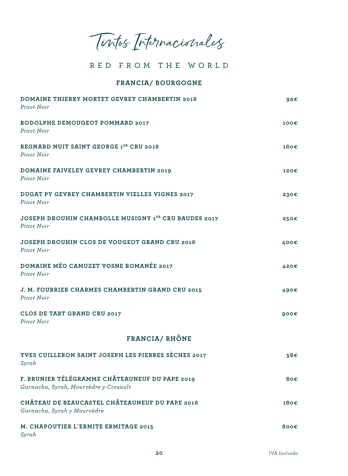Tintos Internacionales

#### **FRANCIA/ BOURGOGNE**

| DOMAINE THIERRY MORTET GEVREY CHAMBERTIN 2018<br>Pinot Noir                             | 92€  |
|-----------------------------------------------------------------------------------------|------|
| RODOLPHE DEMOUGEOT POMMARD 2017<br>Pinot Noir                                           | 100€ |
| REGNARD NUIT SAINT GEORGE 1ER CRU 2018<br>Pinot Noir                                    | 160€ |
| DOMAINE FAIVELEY GEVREY CHAMBERTIN 2019<br>Pinot Noir                                   | 120€ |
| DUGAT PY GEVREY CHAMBERTIN VIELLES VIGNES 2017<br>Pinot Noir                            | 230€ |
| <b>JOSEPH DROUHIN CHAMBOLLE MUSIGNY 1ER CRU BAUDES 2017</b><br>Pinot Noir               | 250€ |
| JOSEPH DROUHIN CLOS DE VOUGEOT GRAND CRU 2016<br>Pinot Noir                             | 400€ |
| DOMAINE MÉO CAMUZET VOSNE ROMANÉE 2017<br>Pinot Noir                                    | 420€ |
| J. M. FOURRIER CHARMES CHAMBERTIN GRAND CRU 2015<br>Pinot Noir                          | 490€ |
| CLOS DE TART GRAND CRU 2017<br>Pinot Noir                                               | 900€ |
| FRANCIA/RHÔNE                                                                           |      |
| YVES CUILLERON SAINT JOSEPH LES PIERRES SÈCHES 2017<br>Syrah                            | 58€  |
| F. BRUNIER TÉLÉGRAMME CHÂTEAUNEUF DU PAPE 2019<br>Garnacha, Syrah, Mourvèdre y Cinsault | 80€  |
| CHÂTEAU DE BEAUCASTEL CHÂTEAUNEUF DU PAPE 2016<br>Garnacha, Syrah y Mourvèdre           | 180€ |
| M. CHAPOUTIER L'ERMITE ERMITAGE 2015<br>Syrah                                           | 800€ |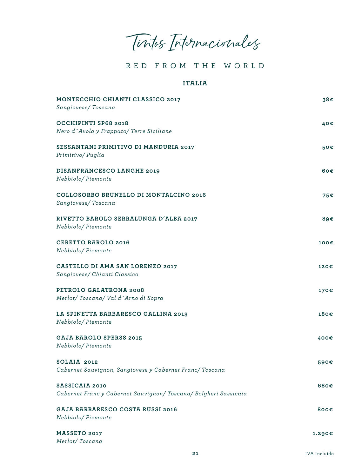Tintos Internacionales

#### **ITALIA**

| MONTECCHIO CHIANTI CLASSICO 2017<br>Sangiovese/Toscana                           | 38€    |
|----------------------------------------------------------------------------------|--------|
| OCCHIPINTI SP68 2018<br>Nero d'Avola y Frappato/ Terre Siciliane                 | 40€    |
| SESSANTANI PRIMITIVO DI MANDURIA 2017<br>Primitivo/Puglia                        | 50€    |
| DISANFRANCESCO LANGHE 2019<br>Nebbiolo/Piemonte                                  | 60€    |
| COLLOSORBO BRUNELLO DI MONTALCINO 2016<br>Sangiovese/Toscana                     | 75€    |
| RIVETTO BAROLO SERRALUNGA D'ALBA 2017<br>Nebbiolo/Piemonte                       | 89€    |
| <b>CERETTO BAROLO 2016</b><br>Nebbiolo/Piemonte                                  | 100€   |
| CASTELLO DI AMA SAN LORENZO 2017<br>Sangiovese/ Chianti Classico                 | 120€   |
| PETROLO GALATRONA 2008<br>Merlot/Toscana/Val d'Arno di Sopra                     | 170€   |
| LA SPINETTA BARBARESCO GALLINA 2013<br>Nebbiolo/Piemonte                         | 180€   |
| <b>GAJA BAROLO SPERSS 2015</b><br>Nebbiolo/Piemonte                              | 400€   |
| SOLAIA 2012<br>Cabernet Sauvignon, Sangiovese y Cabernet Franc/ Toscana          | 590€   |
| SASSICAIA 2010<br>Cabernet Franc y Cabernet Sauvignon/Toscana/Bolgheri Sassicaia | 680€   |
| <b>GAJA BARBARESCO COSTA RUSSI 2016</b><br>Nebbiolo/Piemonte                     | 800€   |
| MASSETO 2017<br>Merlot/Toscana                                                   | 1.290€ |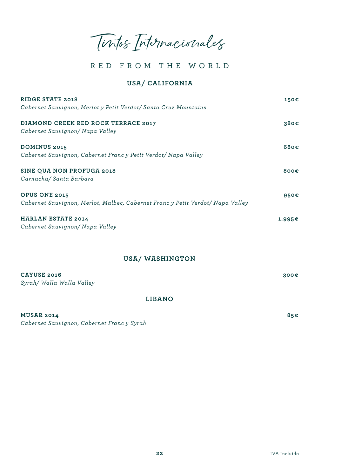Tintos Internacionales

#### **USA/ CALIFORNIA**

| <b>RIDGE STATE 2018</b>                                                        | 150€              |
|--------------------------------------------------------------------------------|-------------------|
| Cabernet Sauvignon, Merlot y Petit Verdot/ Santa Cruz Mountains                |                   |
| DIAMOND CREEK RED ROCK TERRACE 2017                                            | 380€              |
| Cabernet Sauvignon/ Napa Valley                                                |                   |
| <b>DOMINUS 2015</b>                                                            | 680 $\varepsilon$ |
| Cabernet Sauvignon, Cabernet Franc y Petit Verdot/ Napa Valley                 |                   |
| SINE QUA NON PROFUGA 2018                                                      | 800 $\varepsilon$ |
| Garnacha/Santa Barbara                                                         |                   |
| OPUS ONE 2015                                                                  | 950 $\varepsilon$ |
| Cabernet Sauvignon, Merlot, Malbec, Cabernet Franc y Petit Verdot/ Napa Valley |                   |
| <b>HARLAN ESTATE 2014</b>                                                      | 1.995€            |
| Cabernet Sauvignon/ Napa Valley                                                |                   |

#### **USA/ WASHINGTON**

| CAYUSE 2016<br>Syrah/ Walla Walla Valley | 300E |
|------------------------------------------|------|
| <b>LIBANO</b>                            |      |
| <b>MUSAR 2014</b>                        | 85€  |

*Cabernet Sauvignon, Cabernet Franc y Syrah*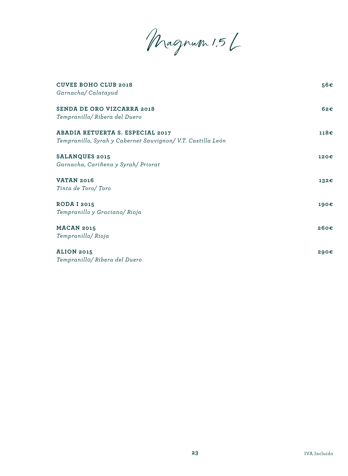Magnum 1,5 L

| <b>CUVEE BOHO CLUB 2018</b><br>Garnacha/Calatayud                                                      | 56€              |
|--------------------------------------------------------------------------------------------------------|------------------|
| <b>SENDA DE ORO VIZCARRA 2018</b><br>Tempranillo/ Ribera del Duero                                     | 62 <sub>ε</sub>  |
| <b>ABADIA RETUERTA S. ESPECIAL 2017</b><br>Tempranillo, Syrah y Cabernet Sauvignon/ V.T. Castilla León | 118 <sub>ε</sub> |
| <b>SALANQUES 2015</b><br>Garnacha, Cariñena y Syrah/ Priorat                                           | 120€             |
| <b>VATAN 2016</b><br>Tinta de Toro/Toro                                                                | 132€             |
| <b>RODA I 2015</b><br>Tempranillo y Graciano/ Rioja                                                    | 190€             |
| <b>MACAN 2015</b><br>Tempranillo/Rioja                                                                 | $260 \epsilon$   |
| <b>ALION 2015</b><br>Tempranillo/ Ribera del Duero                                                     | 290€             |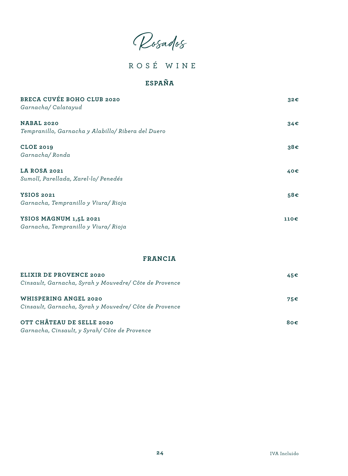Rosados

ROSÉ WINE

# **ESPAÑA**

| BRECA CUVÉE BOHO CLUB 2020<br>Garnacha/Calatayud                 | 32€  |
|------------------------------------------------------------------|------|
| NABAL 2020<br>Tempranillo, Garnacha y Alabillo/ Ribera del Duero | 34€  |
| <b>CLOE 2019</b><br>Garnacha/Ronda                               | 38€  |
| LA ROSA 2021<br>Sumoll, Parellada, Xarel-lo/ Penedés             | 40€  |
| <b>YSIOS 2021</b><br>Garnacha, Tempranillo y Viura/ Rioja        | 58€  |
| YSIOS MAGNUM 1,5L 2021<br>Garnacha, Tempranillo y Viura/ Rioja   | 110€ |

### **FRANCIA**

| ELIXIR DE PROVENCE 2020<br>Cinsault, Garnacha, Syrah y Mouvedre/ Côte de Provence      | 45€ |
|----------------------------------------------------------------------------------------|-----|
| <b>WHISPERING ANGEL 2020</b><br>Cinsault, Garnacha, Syrah y Mouvedre/ Côte de Provence | 75€ |
| OTT CHÂTEAU DE SELLE 2020<br>Garnacha, Cinsault, y Syrah/ Côte de Provence             | 80€ |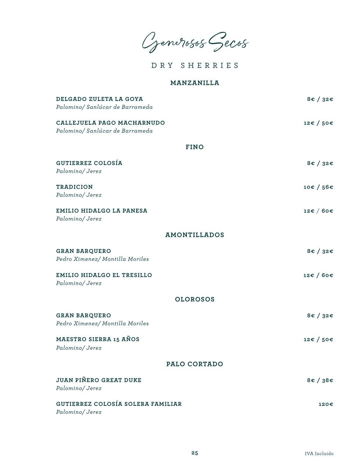Generosos Secos

DRY SHERRIES

#### **MANZANILLA**

| DELGADO ZULETA LA GOYA<br>Palomino/ Sanlúcar de Barrameda     | $8\varepsilon / 32\varepsilon$      |
|---------------------------------------------------------------|-------------------------------------|
| CALLEJUELA PAGO MACHARNUDO<br>Palomino/ Sanlúcar de Barrameda | 12€ / 50€                           |
| <b>FINO</b>                                                   |                                     |
| <b>GUTIERREZ COLOSÍA</b><br>Palomino/Jerez                    | $8\varepsilon / 32\varepsilon$      |
| <b>TRADICION</b><br>Palomino/Jerez                            | 10€ / 56€                           |
| EMILIO HIDALGO LA PANESA<br>Palomino/Jerez                    | 12 $\varepsilon$ / 60 $\varepsilon$ |
| <b>AMONTILLADOS</b>                                           |                                     |
| <b>GRAN BARQUERO</b><br>Pedro Ximenez/ Montilla Moriles       | 8€ / 32€                            |
| EMILIO HIDALGO EL TRESILLO<br>Palomino/Jerez                  | 12€ / 60€                           |
| <b>OLOROSOS</b>                                               |                                     |
| <b>GRAN BARQUERO</b><br>Pedro Ximenez/ Montilla Moriles       | 8€/32€                              |
| MAESTRO SIERRA 15 AÑOS<br>Palomino/Jerez                      | 12€ / 50€                           |
| PALO CORTADO                                                  |                                     |
| <b>JUAN PIÑERO GREAT DUKE</b><br>Palomino/Jerez               | $8\varepsilon / 38\varepsilon$      |
| <b>GUTIERREZ COLOSÍA SOLERA FAMILIAR</b><br>Palomino/Jerez    | 120€                                |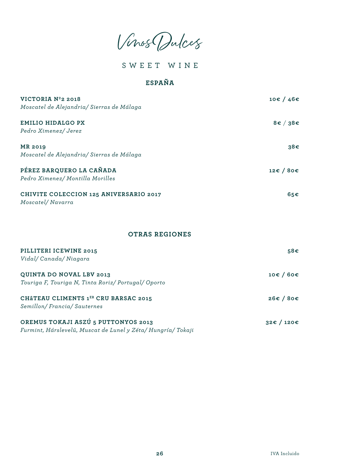Vinos Dulces

SWEET WINE

## **ESPAÑA**

| VICTORIA Nº2 2018                                          | 10€/46€  |
|------------------------------------------------------------|----------|
| Moscatel de Alejandria/ Sierras de Málaga                  |          |
| <b>EMILIO HIDALGO PX</b>                                   | 8€ / 38€ |
| Pedro Ximenez/ Jerez                                       |          |
| <b>MR 2019</b>                                             | 38€      |
| Moscatel de Alejandria/ Sierras de Málaga                  |          |
| PÉREZ BARQUERO LA CAÑADA                                   | 12€/80€  |
| Pedro Ximenez/ Montilla Morilles                           |          |
| CHIVITE COLECCION 125 ANIVERSARIO 2017<br>Moscatel/Navarra | 65€      |
| <b>OTRAS REGIONES</b>                                      |          |
| PILLITERI ICEWINE 2015                                     | 58€      |
| Vidal/Canada/Niagara                                       |          |
| QUINTA DO NOVAL LBV 2013                                   | 10€/60€  |
| Touriga F, Touriga N, Tinta Roriz/ Portugal/ Oporto        |          |
| CHÂTEAU CLIMENTS 1ER CRU BARSAC 2015                       | 26€/80€  |
| Semillon/Francia/Sauternes                                 |          |
| OREMUS TOKAJI ASZÚ 5 PUTTONYOS 2013                        | 32€/120€ |

*Furmint, Hárslevelü, Muscat de Lunel y Zéta/ Hungría/ Tokaji*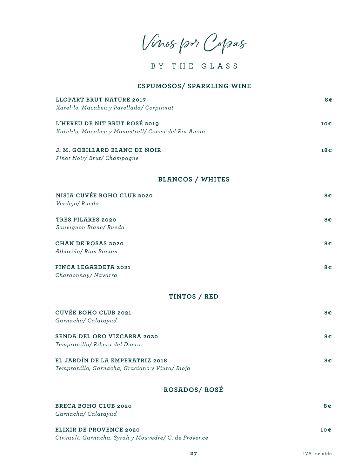Vinos por Copas

BY THE GLASS

#### **ESPUMOSOS/ SPARKLING WINE**

| <b>LLOPART BRUT NATURE 2017</b><br>Xarel-lo, Macabeu y Parellada/ Corpinnat          | $8 \epsilon$ |
|--------------------------------------------------------------------------------------|--------------|
| L'HEREU DE NIT BRUT ROSÉ 2019<br>Xarel-lo, Macabeu y Monastrell/ Conca del Riu Anoia | 10€          |
| J. M. GOBILLARD BLANC DE NOIR<br>Pinot Noir/ Brut/ Champagne                         | 18€          |
| <b>BLANCOS / WHITES</b>                                                              |              |
| NISIA CUVÉE BOHO CLUB 2020<br>Verdejo/Rueda                                          | 8€           |
| TRES PILARES 2020<br>Sauvignon Blanc/Rueda                                           | 8€           |
| <b>CHAN DE ROSAS 2020</b><br>Albariño/ Rias Baixas                                   | 8€           |
| FINCA LEGARDETA 2021<br>Chardonnay/Navarra                                           | $8 \epsilon$ |
| TINTOS / RED                                                                         |              |
| CUVÉE BOHO CLUB 2021<br>Garnacha/Calatayud                                           | $8 \epsilon$ |
| SENDA DEL ORO VIZCARRA 2020<br>Tempranillo/ Ribera del Duero                         | 8€           |
| EL JARDÍN DE LA EMPERATRIZ 2018<br>Tempranillo, Garnacha, Graciano y Viura/ Rioja    | 8€           |
| ROSADOS/ROSÉ                                                                         |              |
| <b>BRECA BOHO CLUB 2020</b><br>Garnacha/Calatayud                                    | $8 \epsilon$ |
| ELIXIR DE PROVENCE 2020<br>Cinsault, Garnacha, Syrah y Mouvedre/ C. de Provence      | 10€          |